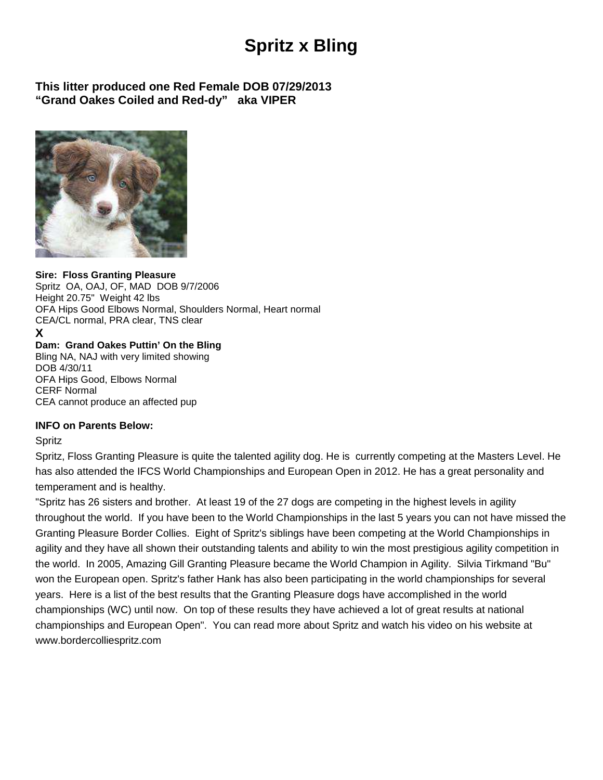# **Spritz x Bling**

### **This litter produced one Red Female DOB 07/29/2013 "Grand Oakes Coiled and Red-dy" aka VIPER**



#### **Sire: Floss Granting Pleasure**

Spritz OA, OAJ, OF, MAD DOB 9/7/2006 Height 20.75" Weight 42 lbs OFA Hips Good Elbows Normal, Shoulders Normal, Heart normal CEA/CL normal, PRA clear, TNS clear

## **X**

#### **Dam: Grand Oakes Puttin' On the Bling**

Bling NA, NAJ with very limited showing DOB 4/30/11 OFA Hips Good, Elbows Normal CERF Normal CEA cannot produce an affected pup

#### **INFO on Parents Below:**

#### Spritz

Spritz, Floss Granting Pleasure is quite the talented agility dog. He is currently competing at the Masters Level. He has also attended the IFCS World Championships and European Open in 2012. He has a great personality and temperament and is healthy.

"Spritz has 26 sisters and brother. At least 19 of the 27 dogs are competing in the highest levels in agility throughout the world. If you have been to the World Championships in the last 5 years you can not have missed the Granting Pleasure Border Collies. Eight of Spritz's siblings have been competing at the World Championships in agility and they have all shown their outstanding talents and ability to win the most prestigious agility competition in the world. In 2005, Amazing Gill Granting Pleasure became the World Champion in Agility. Silvia Tirkmand "Bu" won the European open. Spritz's father Hank has also been participating in the world championships for several years. Here is a list of the best results that the Granting Pleasure dogs have accomplished in the world championships (WC) until now. On top of these results they have achieved a lot of great results at national championships and European Open". You can read more about Spritz and watch his video on his website at www.bordercolliespritz.com